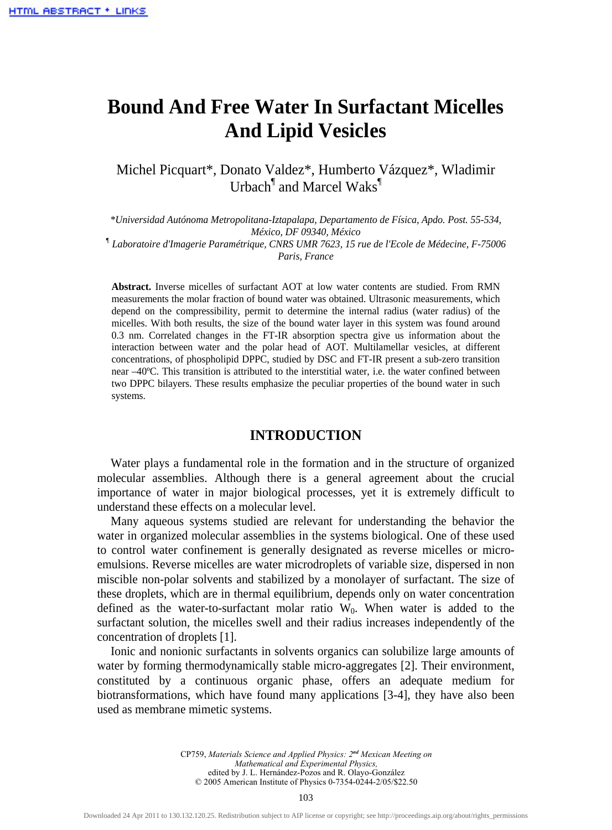# **Bound And Free Water In Surfactant Micelles And Lipid Vesicles**

Michel Picquart\*, Donato Valdez\*, Humberto Vázquez\*, Wladimir Urbach<sup>¶</sup> and Marcel Waks<sup>¶</sup>

*\*Universidad Autónoma Metropolitana-Iztapalapa, Departamento de Física, Apdo. Post. 55-534, México, DF 09340, México ¶ Laboratoire d'Imagerie Paramétrique, CNRS UMR 7623, 15 rue de l'Ecole de Médecine, F-75006 Paris, France* 

**Abstract.** Inverse micelles of surfactant AOT at low water contents are studied. From RMN measurements the molar fraction of bound water was obtained. Ultrasonic measurements, which depend on the compressibility, permit to determine the internal radius (water radius) of the micelles. With both results, the size of the bound water layer in this system was found around 0.3 nm. Correlated changes in the FT-IR absorption spectra give us information about the interaction between water and the polar head of AOT. Multilamellar vesicles, at different concentrations, of phospholipid DPPC, studied by DSC and FT-IR present a sub-zero transition near –40ºC. This transition is attributed to the interstitial water, i.e. the water confined between two DPPC bilayers. These results emphasize the peculiar properties of the bound water in such systems.

#### **INTRODUCTION**

Water plays a fundamental role in the formation and in the structure of organized molecular assemblies. Although there is a general agreement about the crucial importance of water in major biological processes, yet it is extremely difficult to understand these effects on a molecular level.

Many aqueous systems studied are relevant for understanding the behavior the water in organized molecular assemblies in the systems biological. One of these used to control water confinement is generally designated as reverse micelles or microemulsions. Reverse micelles are water microdroplets of variable size, dispersed in non miscible non-polar solvents and stabilized by a monolayer of surfactant. The size of these droplets, which are in thermal equilibrium, depends only on water concentration defined as the water-to-surfactant molar ratio  $W_0$ . When water is added to the surfactant solution, the micelles swell and their radius increases independently of the concentration of droplets [1].

Ionic and nonionic surfactants in solvents organics can solubilize large amounts of water by forming thermodynamically stable micro-aggregates [2]. Their environment, constituted by a continuous organic phase, offers an adequate medium for biotransformations, which have found many applications [3-4], they have also been used as membrane mimetic systems.

> CP759, *Materials Science and Applied Physics: 2nd Mexican Meeting on Mathematical and Experimental Physics,* edited by J. L. Hernández-Pozos and R. Olayo-González © 2005 American Institute of Physics 0-7354-0244-2/05/\$22.50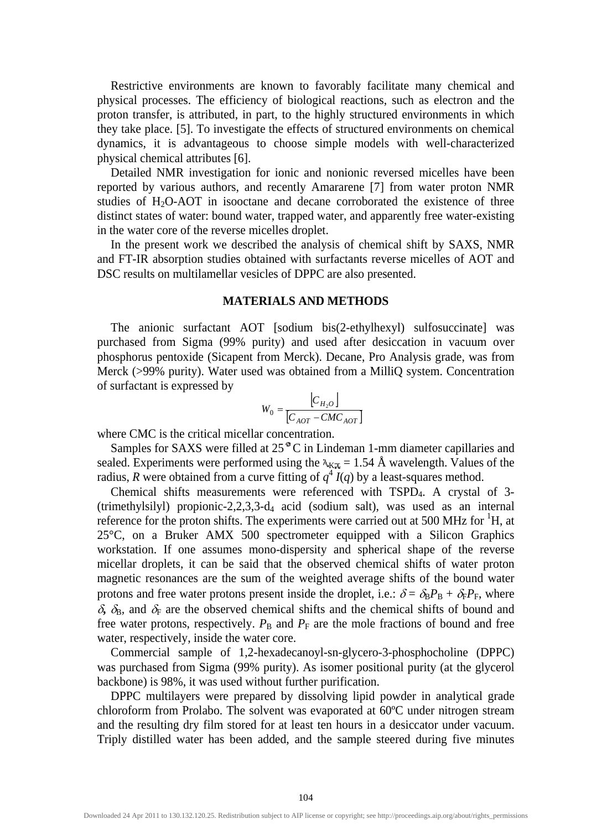Restrictive environments are known to favorably facilitate many chemical and physical processes. The efficiency of biological reactions, such as electron and the proton transfer, is attributed, in part, to the highly structured environments in which they take place. [5]. To investigate the effects of structured environments on chemical dynamics, it is advantageous to choose simple models with well-characterized physical chemical attributes [6].

Detailed NMR investigation for ionic and nonionic reversed micelles have been reported by various authors, and recently Amararene [7] from water proton NMR studies of H2O-AOT in isooctane and decane corroborated the existence of three distinct states of water: bound water, trapped water, and apparently free water-existing in the water core of the reverse micelles droplet.

In the present work we described the analysis of chemical shift by SAXS, NMR and FT-IR absorption studies obtained with surfactants reverse micelles of AOT and DSC results on multilamellar vesicles of DPPC are also presented.

#### **MATERIALS AND METHODS**

The anionic surfactant AOT [sodium bis(2-ethylhexyl) sulfosuccinate] was purchased from Sigma (99% purity) and used after desiccation in vacuum over phosphorus pentoxide (Sicapent from Merck). Decane, Pro Analysis grade, was from Merck (>99% purity). Water used was obtained from a MilliQ system. Concentration of surfactant is expressed by

$$
W_0 = \frac{\begin{bmatrix} C_{H_2O} \end{bmatrix}}{\begin{bmatrix} C_{AOT} - CMC_{AOT} \end{bmatrix}}
$$

where CMC is the critical micellar concentration.

Samples for SAXS were filled at  $25<sup>°</sup>C$  in Lindeman 1-mm diameter capillaries and sealed. Experiments were performed using the  $\lambda_{\text{K} \mu} = 1.54 \text{ Å}$  wavelength. Values of the radius, *R* were obtained from a curve fitting of  $q^4 I(q)$  by a least-squares method.

Chemical shifts measurements were referenced with TSPD4. A crystal of 3- (trimethylsilyl) propionic-2,2,3,3-d4 acid (sodium salt), was used as an internal reference for the proton shifts. The experiments were carried out at 500 MHz for  ${}^{1}H$ , at 25°C, on a Bruker AMX 500 spectrometer equipped with a Silicon Graphics workstation. If one assumes mono-dispersity and spherical shape of the reverse micellar droplets, it can be said that the observed chemical shifts of water proton magnetic resonances are the sum of the weighted average shifts of the bound water protons and free water protons present inside the droplet, i.e.:  $\delta = \delta_B P_B + \delta_F P_F$ , where  $\delta$ ,  $\delta$ <sub>B</sub>, and  $\delta$ <sub>F</sub> are the observed chemical shifts and the chemical shifts of bound and free water protons, respectively.  $P_B$  and  $P_F$  are the mole fractions of bound and free water, respectively, inside the water core.

Commercial sample of 1,2-hexadecanoyl-sn-glycero-3-phosphocholine (DPPC) was purchased from Sigma (99% purity). As isomer positional purity (at the glycerol backbone) is 98%, it was used without further purification.

DPPC multilayers were prepared by dissolving lipid powder in analytical grade chloroform from Prolabo. The solvent was evaporated at 60ºC under nitrogen stream and the resulting dry film stored for at least ten hours in a desiccator under vacuum. Triply distilled water has been added, and the sample steered during five minutes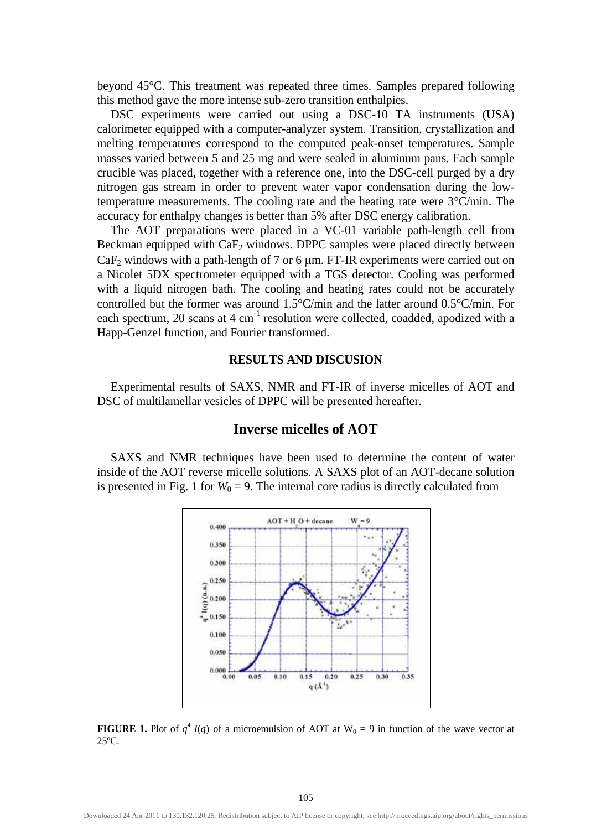beyond 45°C. This treatment was repeated three times. Samples prepared following this method gave the more intense sub-zero transition enthalpies.

DSC experiments were carried out using a DSC-10 TA instruments (USA) calorimeter equipped with a computer-analyzer system. Transition, crystallization and melting temperatures correspond to the computed peak-onset temperatures. Sample masses varied between 5 and 25 mg and were sealed in aluminum pans. Each sample crucible was placed, together with a reference one, into the DSC-cell purged by a dry nitrogen gas stream in order to prevent water vapor condensation during the lowtemperature measurements. The cooling rate and the heating rate were 3°C/min. The accuracy for enthalpy changes is better than 5% after DSC energy calibration.

The AOT preparations were placed in a VC-01 variable path-length cell from Beckman equipped with  $CaF<sub>2</sub>$  windows. DPPC samples were placed directly between  $CaF<sub>2</sub>$  windows with a path-length of 7 or 6  $\mu$ m. FT-IR experiments were carried out on a Nicolet 5DX spectrometer equipped with a TGS detector. Cooling was performed with a liquid nitrogen bath. The cooling and heating rates could not be accurately controlled but the former was around 1.5°C/min and the latter around 0.5°C/min. For each spectrum, 20 scans at  $4 \text{ cm}^{-1}$  resolution were collected, coadded, apodized with a Happ-Genzel function, and Fourier transformed.

#### **RESULTS AND DISCUSION**

Experimental results of SAXS, NMR and FT-IR of inverse micelles of AOT and DSC of multilamellar vesicles of DPPC will be presented hereafter.

## **Inverse micelles of AOT**

SAXS and NMR techniques have been used to determine the content of water inside of the AOT reverse micelle solutions. A SAXS plot of an AOT-decane solution is presented in Fig. 1 for  $W_0 = 9$ . The internal core radius is directly calculated from



**FIGURE 1.** Plot of  $q^4$  *I*(*q*) of a microemulsion of AOT at W<sub>0</sub> = 9 in function of the wave vector at 25ºC.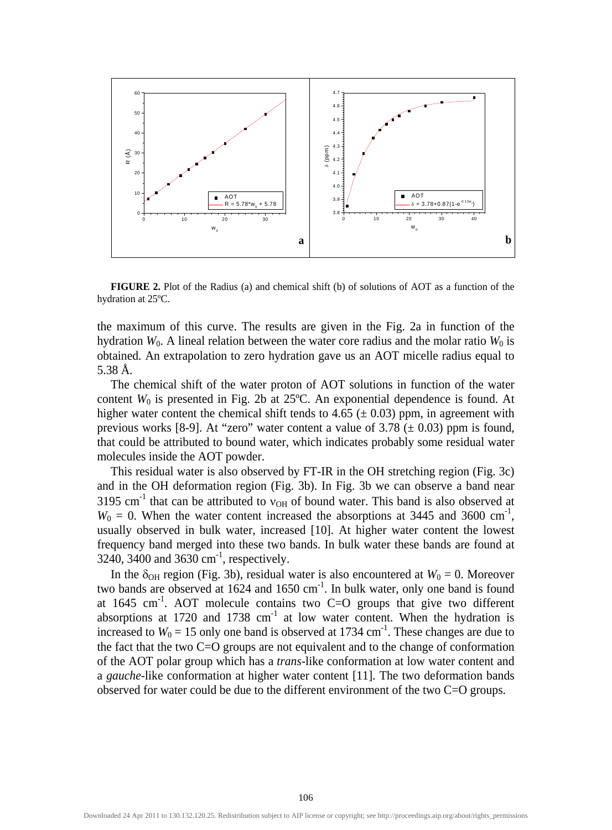

**FIGURE 2.** Plot of the Radius (a) and chemical shift (b) of solutions of AOT as a function of the hydration at 25ºC.

the maximum of this curve. The results are given in the Fig. 2a in function of the hydration  $W_0$ . A lineal relation between the water core radius and the molar ratio  $W_0$  is obtained. An extrapolation to zero hydration gave us an AOT micelle radius equal to 5.38 Å.

The chemical shift of the water proton of AOT solutions in function of the water content *W*0 is presented in Fig. 2b at 25ºC. An exponential dependence is found. At higher water content the chemical shift tends to 4.65 ( $\pm$  0.03) ppm, in agreement with previous works [8-9]. At "zero" water content a value of 3.78 ( $\pm$  0.03) ppm is found, that could be attributed to bound water, which indicates probably some residual water molecules inside the AOT powder.

This residual water is also observed by FT-IR in the OH stretching region (Fig. 3c) and in the OH deformation region (Fig. 3b). In Fig. 3b we can observe a band near 3195 cm<sup>-1</sup> that can be attributed to  $v_{OH}$  of bound water. This band is also observed at  $W_0 = 0$ . When the water content increased the absorptions at 3445 and 3600 cm<sup>-1</sup>, usually observed in bulk water, increased [10]. At higher water content the lowest frequency band merged into these two bands. In bulk water these bands are found at 3240, 3400 and 3630 cm<sup>-1</sup>, respectively.

In the  $\delta_{OH}$  region (Fig. 3b), residual water is also encountered at  $W_0 = 0$ . Moreover two bands are observed at  $1624$  and  $1650 \text{ cm}^{-1}$ . In bulk water, only one band is found at  $1645 \text{ cm}^{-1}$ . AOT molecule contains two C=O groups that give two different absorptions at 1720 and 1738  $cm<sup>-1</sup>$  at low water content. When the hydration is increased to  $W_0 = 15$  only one band is observed at 1734 cm<sup>-1</sup>. These changes are due to the fact that the two C=O groups are not equivalent and to the change of conformation of the AOT polar group which has a *trans*-like conformation at low water content and a *gauche*-like conformation at higher water content [11]. The two deformation bands observed for water could be due to the different environment of the two C=O groups.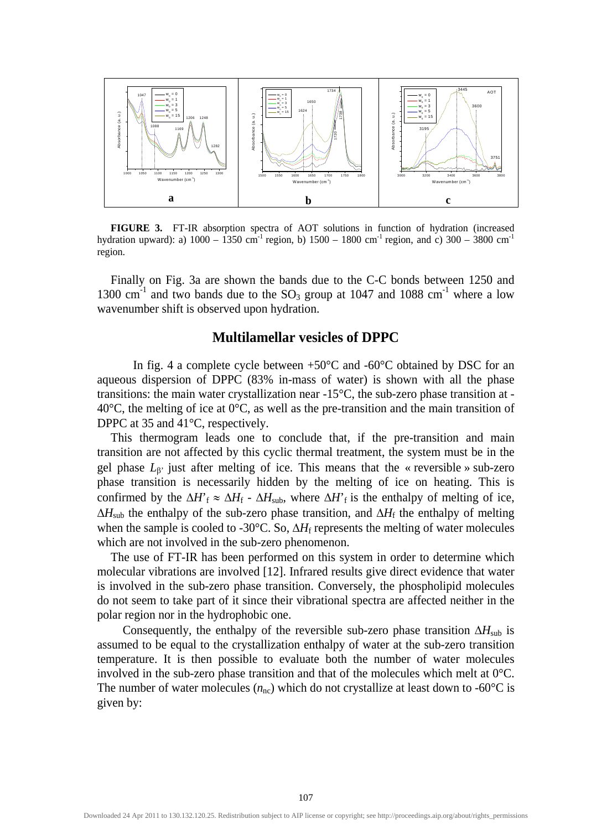

**FIGURE 3.** FT-IR absorption spectra of AOT solutions in function of hydration (increased hydration upward): a)  $1000 - 1350$  cm<sup>-1</sup> region, b)  $1500 - 1800$  cm<sup>-1</sup> region, and c)  $300 - 3800$  cm<sup>-1</sup> region.

Finally on Fig. 3a are shown the bands due to the C-C bonds between 1250 and 1300 cm<sup>-1</sup> and two bands due to the  $SO_3$  group at 1047 and 1088 cm<sup>-1</sup> where a low wavenumber shift is observed upon hydration.

#### **Multilamellar vesicles of DPPC**

In fig. 4 a complete cycle between  $+50^{\circ}$ C and  $-60^{\circ}$ C obtained by DSC for an aqueous dispersion of DPPC (83% in-mass of water) is shown with all the phase transitions: the main water crystallization near -15°C, the sub-zero phase transition at - 40 $^{\circ}$ C, the melting of ice at 0 $^{\circ}$ C, as well as the pre-transition and the main transition of DPPC at 35 and 41°C, respectively.

This thermogram leads one to conclude that, if the pre-transition and main transition are not affected by this cyclic thermal treatment, the system must be in the gel phase  $L_{\beta}$ ' just after melting of ice. This means that the « reversible » sub-zero phase transition is necessarily hidden by the melting of ice on heating. This is confirmed by the  $\Delta H$ <sup>r</sup>  $\approx \Delta H$ <sub>f</sub> -  $\Delta H$ <sub>sub</sub>, where  $\Delta H$ <sup>r</sup><sub>f</sub> is the enthalpy of melting of ice,  $\Delta H_{sub}$  the enthalpy of the sub-zero phase transition, and  $\Delta H_f$  the enthalpy of melting when the sample is cooled to -30°C. So, ΔH<sub>f</sub> represents the melting of water molecules which are not involved in the sub-zero phenomenon.

The use of FT-IR has been performed on this system in order to determine which molecular vibrations are involved [12]. Infrared results give direct evidence that water is involved in the sub-zero phase transition. Conversely, the phospholipid molecules do not seem to take part of it since their vibrational spectra are affected neither in the polar region nor in the hydrophobic one.

Consequently, the enthalpy of the reversible sub-zero phase transition  $\Delta H_{sub}$  is assumed to be equal to the crystallization enthalpy of water at the sub-zero transition temperature. It is then possible to evaluate both the number of water molecules involved in the sub-zero phase transition and that of the molecules which melt at 0°C. The number of water molecules  $(n_{nc})$  which do not crystallize at least down to -60<sup>o</sup>C is given by: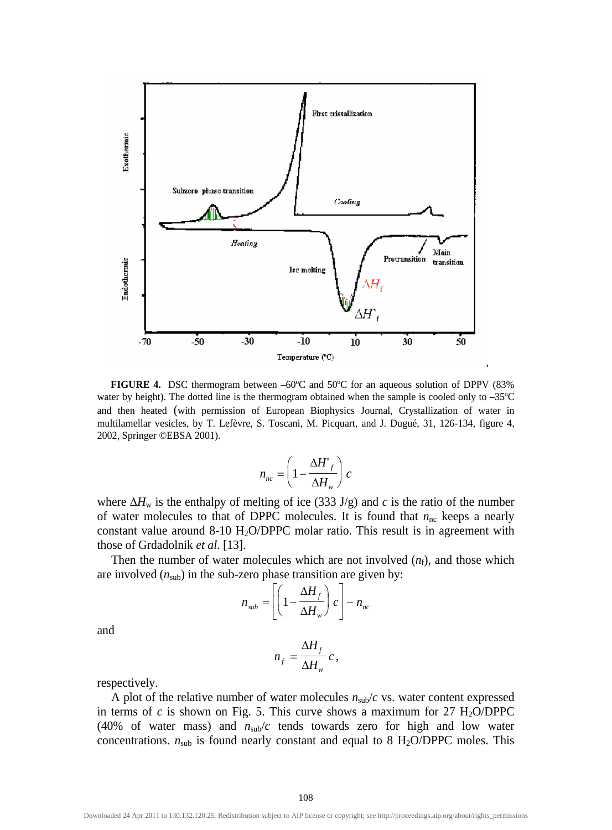

**FIGURE 4.** DSC thermogram between  $-60^{\circ}$ C and  $50^{\circ}$ C for an aqueous solution of DPPV (83% water by height). The dotted line is the thermogram obtained when the sample is cooled only to -35°C and then heated (with permission of European Biophysics Journal, Crystallization of water in multilamellar vesicles, by T. Lefèvre, S. Toscani, M. Picquart, and J. Dugué, 31, 126-134, figure 4, 2002, Springer ©EBSA 2001).

$$
n_{nc} = \left(1 - \frac{\Delta H'}{\Delta H_w}\right)c
$$

where  $\Delta H_w$  is the enthalpy of melting of ice (333 J/g) and *c* is the ratio of the number of water molecules to that of DPPC molecules. It is found that  $n<sub>nc</sub>$  keeps a nearly constant value around  $8-10$  H<sub>2</sub>O/DPPC molar ratio. This result is in agreement with those of Grdadolnik *et al*. [13].

Then the number of water molecules which are not involved  $(n_f)$ , and those which are involved  $(n_{sub})$  in the sub-zero phase transition are given by:

$$
n_{sub} = \left[ \left( 1 - \frac{\Delta H_f}{\Delta H_w} \right) c \right] - n_{nc}
$$

and

$$
n_f = \frac{\Delta H_f}{\Delta H_w} c,
$$

respectively.

A plot of the relative number of water molecules  $n_{sub}/c$  vs. water content expressed in terms of *c* is shown on Fig. 5. This curve shows a maximum for  $27 \text{ H}_2\text{O/DPPC}$ (40% of water mass) and  $n_{sub}/c$  tends towards zero for high and low water concentrations.  $n_{sub}$  is found nearly constant and equal to 8 H<sub>2</sub>O/DPPC moles. This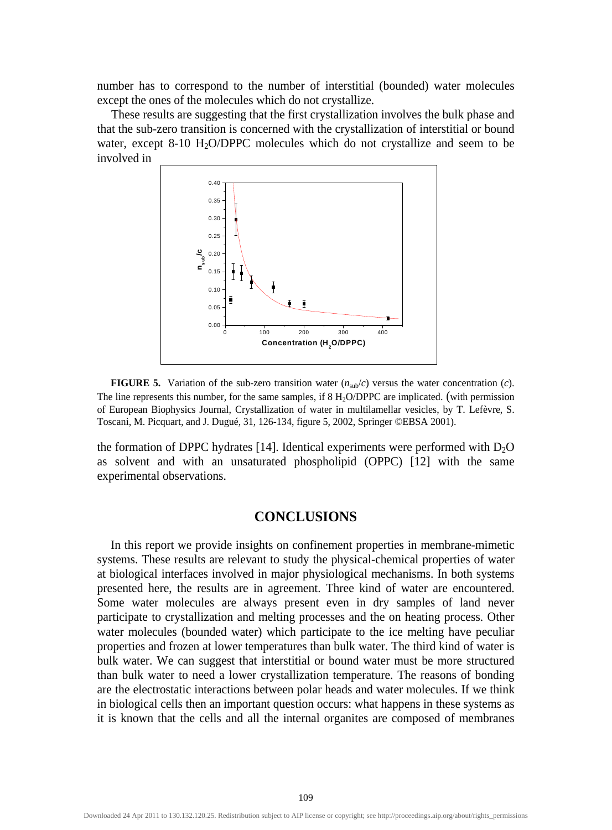number has to correspond to the number of interstitial (bounded) water molecules except the ones of the molecules which do not crystallize.

These results are suggesting that the first crystallization involves the bulk phase and that the sub-zero transition is concerned with the crystallization of interstitial or bound water, except 8-10 H<sub>2</sub>O/DPPC molecules which do not crystallize and seem to be involved in



**FIGURE 5.** Variation of the sub-zero transition water  $(n_{sub}/c)$  versus the water concentration (*c*). The line represents this number, for the same samples, if 8 H**2**O/DPPC are implicated. (with permission of European Biophysics Journal, Crystallization of water in multilamellar vesicles, by T. Lefèvre, S. Toscani, M. Picquart, and J. Dugué, 31, 126-134, figure 5, 2002, Springer ©EBSA 2001).

the formation of DPPC hydrates [14]. Identical experiments were performed with  $D_2O$ as solvent and with an unsaturated phospholipid (OPPC) [12] with the same experimental observations.

#### **CONCLUSIONS**

In this report we provide insights on confinement properties in membrane-mimetic systems. These results are relevant to study the physical-chemical properties of water at biological interfaces involved in major physiological mechanisms. In both systems presented here, the results are in agreement. Three kind of water are encountered. Some water molecules are always present even in dry samples of land never participate to crystallization and melting processes and the on heating process. Other water molecules (bounded water) which participate to the ice melting have peculiar properties and frozen at lower temperatures than bulk water. The third kind of water is bulk water. We can suggest that interstitial or bound water must be more structured than bulk water to need a lower crystallization temperature. The reasons of bonding are the electrostatic interactions between polar heads and water molecules. If we think in biological cells then an important question occurs: what happens in these systems as it is known that the cells and all the internal organites are composed of membranes